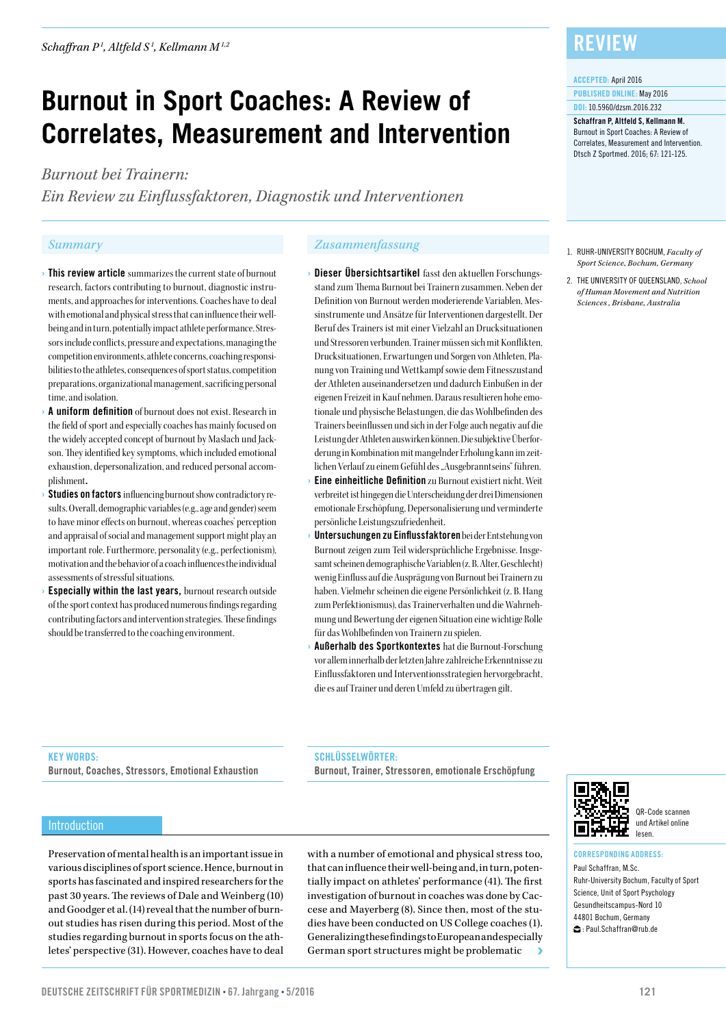# **Burnout in Sport Coaches: A Review of Correlates, Measurement and Intervention**

*Burnout bei Trainern:* 

*Ein Review zu Einflussfaktoren, Diagnostik und Interventionen*

- **Ihis review article** summarizes the current state of burnout research, factors contributing to burnout, diagnostic instruments, and approaches for interventions. Coaches have to deal with emotional and physical stress that can influence their wellbeing and in turn, potentially impact athlete performance. Stressors include conflicts, pressure and expectations, managing the competition environments, athlete concerns, coaching responsibilities to the athletes, consequences of sport status, competition preparations, organizational management, sacrificing personal time, and isolation.
- A uniform definition of burnout does not exist. Research in the field of sport and especially coaches has mainly focused on the widely accepted concept of burnout by Maslach und Jackson. They identified key symptoms, which included emotional exhaustion, depersonalization, and reduced personal accomplishment.
- Studies on factors influencing burnout show contradictory results. Overall, demographic variables (e.g., age and gender) seem to have minor effects on burnout, whereas coaches' perception and appraisal of social and management support might play an important role. Furthermore, personality (e.g., perfectionism), motivation and the behavior of a coach influences the individual assessments of stressful situations.
- **Especially within the last years, burnout research outside** of the sport context has produced numerous findings regarding contributing factors and intervention strategies. These findings should be transferred to the coaching environment.

### *Summary Zusammenfassung*

- › Dieser Übersichtsartikel fasst den aktuellen Forschungsstand zum Thema Burnout bei Trainern zusammen. Neben der Definition von Burnout werden moderierende Variablen, Messinstrumente und Ansätze für Interventionen dargestellt. Der Beruf des Trainers ist mit einer Vielzahl an Drucksituationen und Stressoren verbunden. Trainer müssen sich mit Konflikten, Drucksituationen, Erwartungen und Sorgen von Athleten, Planung von Training und Wettkampf sowie dem Fitnesszustand der Athleten auseinandersetzen und dadurch Einbußen in der eigenen Freizeit in Kauf nehmen. Daraus resultieren hohe emotionale und physische Belastungen, die das Wohlbefinden des Trainers beeinflussen und sich in der Folge auch negativ auf die Leistung der Athleten auswirken können. Die subjektive Überforderung in Kombination mit mangelnder Erholung kann im zeitlichen Verlauf zu einem Gefühl des "Ausgebranntseins" führen.
- Eine einheitliche Definition zu Burnout existiert nicht. Weit verbreitet ist hingegen die Unterscheidung der drei Dimensionen emotionale Erschöpfung, Depersonalisierung und verminderte persönliche Leistungszufriedenheit.
- Untersuchungen zu Einflussfaktoren bei der Entstehung von Burnout zeigen zum Teil widersprüchliche Ergebnisse. Insgesamt scheinen demographische Variablen (z. B. Alter, Geschlecht) wenig Einfluss auf die Ausprägung von Burnout bei Trainern zu haben. Vielmehr scheinen die eigene Persönlichkeit (z. B. Hang zum Perfektionismus), das Trainerverhalten und die Wahrnehmung und Bewertung der eigenen Situation eine wichtige Rolle für das Wohlbefinden von Trainern zu spielen.
- Außerhalb des Sportkontextes hat die Burnout-Forschung vor allem innerhalb der letzten Jahre zahlreiche Erkenntnisse zu Einflussfaktoren und Interventionsstrategien hervorgebracht, die es auf Trainer und deren Umfeld zu übertragen gilt.

### **REVIEW**

#### ACCEPTED: April 2016

PUBLISHED ONLINE: May 2016 DOI: 10.5960/dzsm.2016.232

#### Schaffran P, Altfeld S, Kellmann M. Burnout in Sport Coaches: A Review of Correlates, Measurement and Intervention. Dtsch Z Sportmed. 2016; 67: 121-125.

- 1. RUHR-UNIVERSITY BOCHUM, *Faculty of Sport Science, Bochum, Germany*
- 2. THE UNIVERSITY OF QUEENSLAND, *School of Human Movement and Nutrition Sciences , Brisbane, Australia*

#### KEY WORDS:

Burnout, Coaches, Stressors, Emotional Exhaustion

SCHLÜSSELWÖRTER:

Burnout, Trainer, Stressoren, emotionale Erschöpfung



#### QR-Code scannen und Artikel online lesen.

#### CORRESPONDING ADDRESS:

Paul Schaffran, M.Sc. Ruhr-University Bochum, Faculty of Sport Science, Unit of Sport Psychology Gesundheitscampus-Nord 10 44801 Bochum, Germany : Paul.Schaffran@rub.de

#### Introduction

Preservation of mental health is an important issue in various disciplines of sport science. Hence, burnout in sports has fascinated and inspired researchers for the past 30 years. The reviews of Dale and Weinberg (10) and Goodger et al. (14) reveal that the number of burnout studies has risen during this period. Most of the studies regarding burnout in sports focus on the athletes' perspective (31). However, coaches have to deal

with a number of emotional and physical stress too, that can influence their well-being and, in turn, potentially impact on athletes' performance (41). The first investigation of burnout in coaches was done by Caccese and Mayerberg (8). Since then, most of the studies have been conducted on US College coaches (1). Generalizing these findings to European and especially German sport structures might be problematic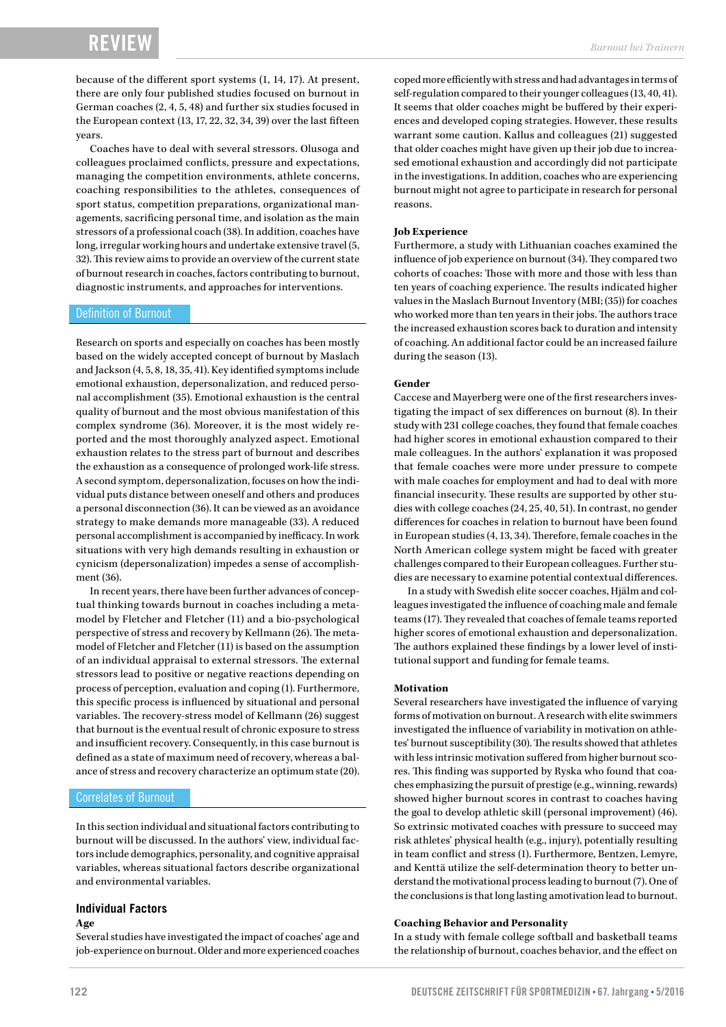## RE<sup>v</sup>

because of the different sport systems (1, 14, 17). At present, there are only four published studies focused on burnout in German coaches (2, 4, 5, 48) and further six studies focused in the European context (13, 17, 22, 32, 34, 39) over the last fifteen years.

Coaches have to deal with several stressors. Olusoga and colleagues proclaimed conflicts, pressure and expectations, managing the competition environments, athlete concerns, coaching responsibilities to the athletes, consequences of sport status, competition preparations, organizational managements, sacrificing personal time, and isolation as the main stressors of a professional coach (38). In addition, coaches have long, irregular working hours and undertake extensive travel (5, 32). This review aims to provide an overview of the current state of burnout research in coaches, factors contributing to burnout, diagnostic instruments, and approaches for interventions.

#### Definition of Burnout

Research on sports and especially on coaches has been mostly based on the widely accepted concept of burnout by Maslach and Jackson (4, 5, 8, 18, 35, 41). Key identified symptoms include emotional exhaustion, depersonalization, and reduced personal accomplishment (35). Emotional exhaustion is the central quality of burnout and the most obvious manifestation of this complex syndrome (36). Moreover, it is the most widely reported and the most thoroughly analyzed aspect. Emotional exhaustion relates to the stress part of burnout and describes the exhaustion as a consequence of prolonged work-life stress. A second symptom, depersonalization, focuses on how the individual puts distance between oneself and others and produces a personal disconnection (36). It can be viewed as an avoidance strategy to make demands more manageable (33). A reduced personal accomplishment is accompanied by inefficacy. In work situations with very high demands resulting in exhaustion or cynicism (depersonalization) impedes a sense of accomplishment (36).

In recent years, there have been further advances of conceptual thinking towards burnout in coaches including a metamodel by Fletcher and Fletcher (11) and a bio-psychological perspective of stress and recovery by Kellmann (26). The metamodel of Fletcher and Fletcher (11) is based on the assumption of an individual appraisal to external stressors. The external stressors lead to positive or negative reactions depending on process of perception, evaluation and coping (1). Furthermore, this specific process is influenced by situational and personal variables. The recovery-stress model of Kellmann (26) suggest that burnout is the eventual result of chronic exposure to stress and insufficient recovery. Consequently, in this case burnout is defined as a state of maximum need of recovery, whereas a balance of stress and recovery characterize an optimum state (20).

#### Correlates of Burnout

In this section individual and situational factors contributing to burnout will be discussed. In the authors' view, individual factors include demographics, personality, and cognitive appraisal variables, whereas situational factors describe organizational and environmental variables.

#### **Individual Factors**

#### **Age**

Several studies have investigated the impact of coaches' age and job-experience on burnout. Older and more experienced coaches coped more efficiently with stress and had advantages in terms of self-regulation compared to their younger colleagues (13, 40, 41). It seems that older coaches might be buffered by their experiences and developed coping strategies. However, these results warrant some caution. Kallus and colleagues (21) suggested that older coaches might have given up their job due to increased emotional exhaustion and accordingly did not participate in the investigations. In addition, coaches who are experiencing burnout might not agree to participate in research for personal reasons.

#### **Job Experience**

Furthermore, a study with Lithuanian coaches examined the influence of job experience on burnout (34). They compared two cohorts of coaches: Those with more and those with less than ten years of coaching experience. The results indicated higher values in the Maslach Burnout Inventory (MBI; (35)) for coaches who worked more than ten years in their jobs. The authors trace the increased exhaustion scores back to duration and intensity of coaching. An additional factor could be an increased failure during the season (13).

#### **Gender**

Caccese and Mayerberg were one of the first researchers investigating the impact of sex differences on burnout (8). In their study with 231 college coaches, they found that female coaches had higher scores in emotional exhaustion compared to their male colleagues. In the authors' explanation it was proposed that female coaches were more under pressure to compete with male coaches for employment and had to deal with more financial insecurity. These results are supported by other studies with college coaches (24, 25, 40, 51). In contrast, no gender differences for coaches in relation to burnout have been found in European studies (4, 13, 34). Therefore, female coaches in the North American college system might be faced with greater challenges compared to their European colleagues. Further studies are necessary to examine potential contextual differences.

In a study with Swedish elite soccer coaches, Hjälm and colleagues investigated the influence of coaching male and female teams (17). They revealed that coaches of female teams reported higher scores of emotional exhaustion and depersonalization. The authors explained these findings by a lower level of institutional support and funding for female teams.

#### **Motivation**

Several researchers have investigated the influence of varying forms of motivation on burnout. A research with elite swimmers investigated the influence of variability in motivation on athletes' burnout susceptibility (30). The results showed that athletes with less intrinsic motivation suffered from higher burnout scores. This finding was supported by Ryska who found that coaches emphasizing the pursuit of prestige (e.g., winning, rewards) showed higher burnout scores in contrast to coaches having the goal to develop athletic skill (personal improvement) (46). So extrinsic motivated coaches with pressure to succeed may risk athletes' physical health (e.g., injury), potentially resulting in team conflict and stress (1). Furthermore, Bentzen, Lemyre, and Kenttä utilize the self-determination theory to better understand the motivational process leading to burnout (7). One of the conclusions is that long lasting amotivation lead to burnout.

#### **Coaching Behavior and Personality**

In a study with female college softball and basketball teams the relationship of burnout, coaches behavior, and the effect on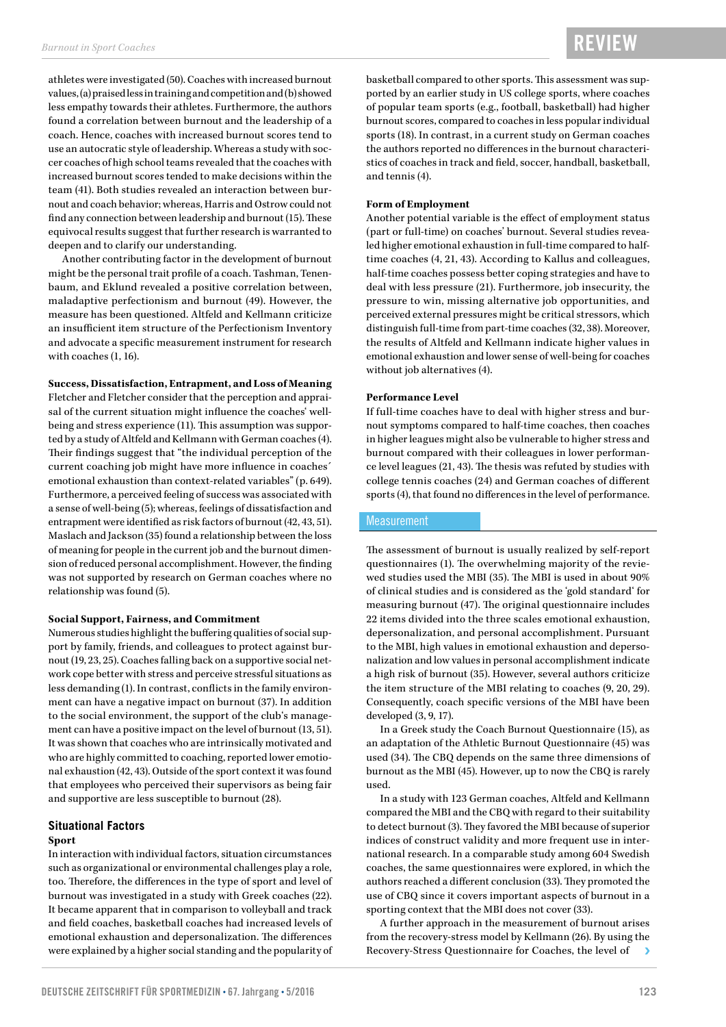athletes were investigated (50). Coaches with increased burnout values, (a) praised less in training and competition and (b) showed less empathy towards their athletes. Furthermore, the authors found a correlation between burnout and the leadership of a coach. Hence, coaches with increased burnout scores tend to use an autocratic style of leadership. Whereas a study with soccer coaches of high school teams revealed that the coaches with increased burnout scores tended to make decisions within the team (41). Both studies revealed an interaction between burnout and coach behavior; whereas, Harris and Ostrow could not find any connection between leadership and burnout (15). These equivocal results suggest that further research is warranted to deepen and to clarify our understanding.

Another contributing factor in the development of burnout might be the personal trait profile of a coach. Tashman, Tenenbaum, and Eklund revealed a positive correlation between, maladaptive perfectionism and burnout (49). However, the measure has been questioned. Altfeld and Kellmann criticize an insufficient item structure of the Perfectionism Inventory and advocate a specific measurement instrument for research with coaches (1, 16).

#### **Success, Dissatisfaction, Entrapment, and Loss of Meaning**

Fletcher and Fletcher consider that the perception and appraisal of the current situation might influence the coaches' wellbeing and stress experience (11). This assumption was supported by a study of Altfeld and Kellmann with German coaches (4). Their findings suggest that "the individual perception of the current coaching job might have more influence in coaches´ emotional exhaustion than context-related variables" (p. 649). Furthermore, a perceived feeling of success was associated with a sense of well-being (5); whereas, feelings of dissatisfaction and entrapment were identified as risk factors of burnout (42, 43, 51). Maslach and Jackson (35) found a relationship between the loss of meaning for people in the current job and the burnout dimension of reduced personal accomplishment. However, the finding was not supported by research on German coaches where no relationship was found (5).

#### **Social Support, Fairness, and Commitment**

Numerous studies highlight the buffering qualities of social support by family, friends, and colleagues to protect against burnout (19, 23, 25). Coaches falling back on a supportive social network cope better with stress and perceive stressful situations as less demanding (1). In contrast, conflicts in the family environment can have a negative impact on burnout (37). In addition to the social environment, the support of the club's management can have a positive impact on the level of burnout (13, 51). It was shown that coaches who are intrinsically motivated and who are highly committed to coaching, reported lower emotional exhaustion (42, 43). Outside of the sport context it was found that employees who perceived their supervisors as being fair and supportive are less susceptible to burnout (28).

#### **Situational Factors**

#### **Sport**

In interaction with individual factors, situation circumstances such as organizational or environmental challenges play a role, too. Therefore, the differences in the type of sport and level of burnout was investigated in a study with Greek coaches (22). It became apparent that in comparison to volleyball and track and field coaches, basketball coaches had increased levels of emotional exhaustion and depersonalization. The differences were explained by a higher social standing and the popularity of basketball compared to other sports. This assessment was supported by an earlier study in US college sports, where coaches of popular team sports (e.g., football, basketball) had higher burnout scores, compared to coaches in less popular individual sports (18). In contrast, in a current study on German coaches the authors reported no differences in the burnout characteristics of coaches in track and field, soccer, handball, basketball, and tennis (4).

#### **Form of Employment**

Another potential variable is the effect of employment status (part or full-time) on coaches' burnout. Several studies revealed higher emotional exhaustion in full-time compared to halftime coaches (4, 21, 43). According to Kallus and colleagues, half-time coaches possess better coping strategies and have to deal with less pressure (21). Furthermore, job insecurity, the pressure to win, missing alternative job opportunities, and perceived external pressures might be critical stressors, which distinguish full-time from part-time coaches (32, 38). Moreover, the results of Altfeld and Kellmann indicate higher values in emotional exhaustion and lower sense of well-being for coaches without job alternatives (4).

#### **Performance Level**

If full-time coaches have to deal with higher stress and burnout symptoms compared to half-time coaches, then coaches in higher leagues might also be vulnerable to higher stress and burnout compared with their colleagues in lower performance level leagues (21, 43). The thesis was refuted by studies with college tennis coaches (24) and German coaches of different sports (4), that found no differences in the level of performance.

#### **Measurement**

The assessment of burnout is usually realized by self-report questionnaires (1). The overwhelming majority of the reviewed studies used the MBI (35). The MBI is used in about 90% of clinical studies and is considered as the 'gold standard' for measuring burnout (47). The original questionnaire includes 22 items divided into the three scales emotional exhaustion, depersonalization, and personal accomplishment. Pursuant to the MBI, high values in emotional exhaustion and depersonalization and low values in personal accomplishment indicate a high risk of burnout (35). However, several authors criticize the item structure of the MBI relating to coaches (9, 20, 29). Consequently, coach specific versions of the MBI have been developed (3, 9, 17).

In a Greek study the Coach Burnout Questionnaire (15), as an adaptation of the Athletic Burnout Questionnaire (45) was used (34). The CBQ depends on the same three dimensions of burnout as the MBI (45). However, up to now the CBQ is rarely used.

In a study with 123 German coaches, Altfeld and Kellmann compared the MBI and the CBQ with regard to their suitability to detect burnout (3). They favored the MBI because of superior indices of construct validity and more frequent use in international research. In a comparable study among 604 Swedish coaches, the same questionnaires were explored, in which the authors reached a different conclusion (33). They promoted the use of CBQ since it covers important aspects of burnout in a sporting context that the MBI does not cover (33).

A further approach in the measurement of burnout arises from the recovery-stress model by Kellmann (26). By using the Recovery-Stress Questionnaire for Coaches, the level of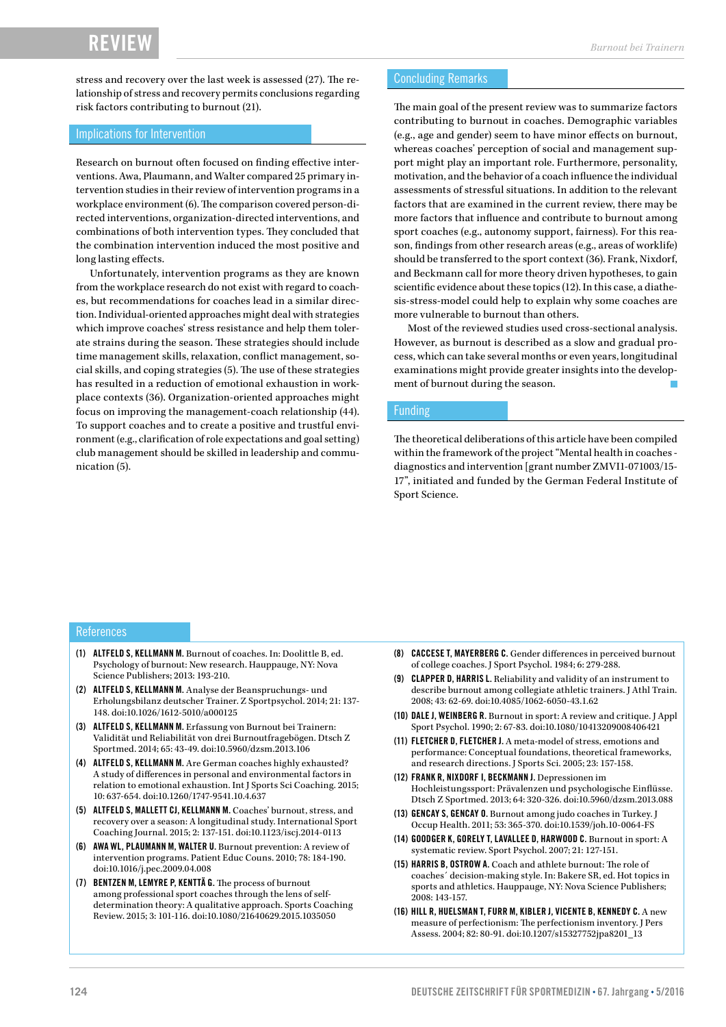stress and recovery over the last week is assessed (27). The relationship of stress and recovery permits conclusions regarding risk factors contributing to burnout (21).

#### Implications for Intervention

Research on burnout often focused on finding effective interventions. Awa, Plaumann, and Walter compared 25 primary intervention studies in their review of intervention programs in a workplace environment (6). The comparison covered person-directed interventions, organization-directed interventions, and combinations of both intervention types. They concluded that the combination intervention induced the most positive and long lasting effects.

Unfortunately, intervention programs as they are known from the workplace research do not exist with regard to coaches, but recommendations for coaches lead in a similar direction. Individual-oriented approaches might deal with strategies which improve coaches' stress resistance and help them tolerate strains during the season. These strategies should include time management skills, relaxation, conflict management, social skills, and coping strategies (5). The use of these strategies has resulted in a reduction of emotional exhaustion in workplace contexts (36). Organization-oriented approaches might focus on improving the management-coach relationship (44). To support coaches and to create a positive and trustful environment (e.g., clarification of role expectations and goal setting) club management should be skilled in leadership and communication (5).

#### Concluding Remarks

The main goal of the present review was to summarize factors contributing to burnout in coaches. Demographic variables (e.g., age and gender) seem to have minor effects on burnout, whereas coaches' perception of social and management support might play an important role. Furthermore, personality, motivation, and the behavior of a coach influence the individual assessments of stressful situations. In addition to the relevant factors that are examined in the current review, there may be more factors that influence and contribute to burnout among sport coaches (e.g., autonomy support, fairness). For this reason, findings from other research areas (e.g., areas of worklife) should be transferred to the sport context (36). Frank, Nixdorf, and Beckmann call for more theory driven hypotheses, to gain scientific evidence about these topics (12). In this case, a diathesis-stress-model could help to explain why some coaches are more vulnerable to burnout than others.

Most of the reviewed studies used cross-sectional analysis. However, as burnout is described as a slow and gradual process, which can take several months or even years, longitudinal examinations might provide greater insights into the development of burnout during the season.

#### Funding

The theoretical deliberations of this article have been compiled within the framework of the project "Mental health in coaches diagnostics and intervention [grant number ZMVI1-071003/15- 17", initiated and funded by the German Federal Institute of Sport Science.

#### References

- (1) ALTFELD S, KELLMANN M. Burnout of coaches. In: Doolittle B, ed. Psychology of burnout: New research. Hauppauge, NY: Nova Science Publishers; 2013: 193-210.
- (2) ALTFELD S, KELLMANN M. Analyse der Beanspruchungs- und Erholungsbilanz deutscher Trainer. Z Sportpsychol. 2014; 21: 137- 148. doi:10.1026/1612-5010/a000125
- (3) ALTFELD S, KELLMANN M. Erfassung von Burnout bei Trainern: Validität und Reliabilität von drei Burnoutfragebögen. Dtsch Z Sportmed. 2014; 65: 43-49. doi:10.5960/dzsm.2013.106
- (4) ALTFELD S, KELLMANN M. Are German coaches highly exhausted? A study of differences in personal and environmental factors in relation to emotional exhaustion. Int J Sports Sci Coaching. 2015; 10: 637-654. doi:10.1260/1747-9541.10.4.637
- (5) ALTFELD S, MALLETT CJ, KELLMANN M. Coaches' burnout, stress, and recovery over a season: A longitudinal study. International Sport Coaching Journal. 2015; 2: 137-151. doi:10.1123/iscj.2014-0113
- (6) AWA WL, PLAUMANN M, WALTER U. Burnout prevention: A review of intervention programs. Patient Educ Couns. 2010; 78: 184-190. doi:10.1016/j.pec.2009.04.008
- (7) BENTZEN M, LEMYRE P, KENTTÄ G. The process of burnout among professional sport coaches through the lens of selfdetermination theory: A qualitative approach. Sports Coaching Review. 2015; 3: 101-116. doi:10.1080/21640629.2015.1035050
- (8) CACCESE T, MAYERBERG C. Gender differences in perceived burnout of college coaches. J Sport Psychol. 1984; 6: 279-288.
- (9) CLAPPER D, HARRIS L. Reliability and validity of an instrument to describe burnout among collegiate athletic trainers. J Athl Train. 2008; 43: 62-69. doi:10.4085/1062-6050-43.1.62
- (10) DALE J, WEINBERG R. Burnout in sport: A review and critique. J Appl Sport Psychol. 1990; 2: 67-83. doi:10.1080/10413209008406421
- (11) FLETCHER D, FLETCHER J. A meta-model of stress, emotions and performance: Conceptual foundations, theoretical frameworks, and research directions. J Sports Sci. 2005; 23: 157-158.
- (12) FRANK R, NIXDORF I, BECKMANN J. Depressionen im Hochleistungssport: Prävalenzen und psychologische Einflüsse. Dtsch Z Sportmed. 2013; 64: 320-326. doi:10.5960/dzsm.2013.088
- (13) GENCAY S, GENCAY O. Burnout among judo coaches in Turkey. J Occup Health. 2011; 53: 365-370. doi:10.1539/joh.10-0064-FS
- (14) GOODGER K, GORELY T, LAVALLEE D, HARWOOD C. Burnout in sport: A systematic review. Sport Psychol. 2007; 21: 127-151.
- (15) HARRIS B, OSTROW A. Coach and athlete burnout: The role of coaches´ decision-making style. In: Bakere SR, ed. Hot topics in sports and athletics. Hauppauge, NY: Nova Science Publishers; 2008: 143-157.
- (16) HILL R, HUELSMAN T, FURR M, KIBLER J, VICENTE B, KENNEDY C. A new measure of perfectionism: The perfectionism inventory. J Pers Assess. 2004; 82: 80-91. doi:10.1207/s15327752jpa8201\_13